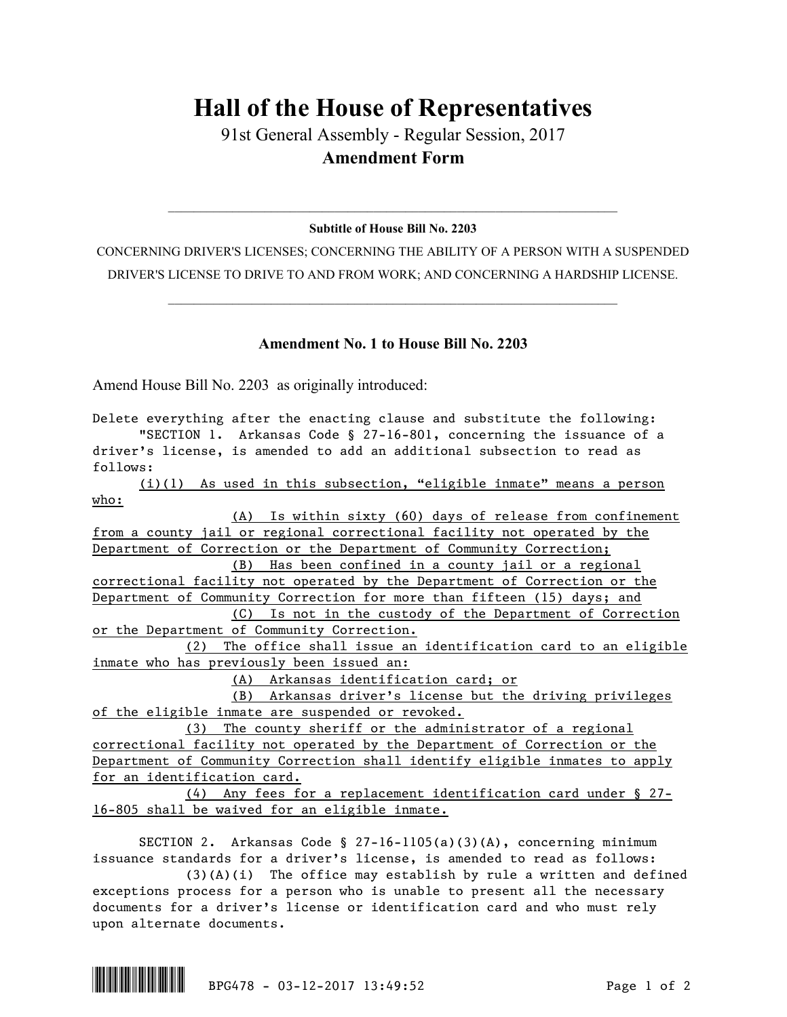## **Hall of the House of Representatives**

91st General Assembly - Regular Session, 2017 **Amendment Form**

## $\mathcal{L}_\mathcal{L} = \mathcal{L}_\mathcal{L} = \mathcal{L}_\mathcal{L} = \mathcal{L}_\mathcal{L} = \mathcal{L}_\mathcal{L} = \mathcal{L}_\mathcal{L} = \mathcal{L}_\mathcal{L} = \mathcal{L}_\mathcal{L} = \mathcal{L}_\mathcal{L} = \mathcal{L}_\mathcal{L} = \mathcal{L}_\mathcal{L} = \mathcal{L}_\mathcal{L} = \mathcal{L}_\mathcal{L} = \mathcal{L}_\mathcal{L} = \mathcal{L}_\mathcal{L} = \mathcal{L}_\mathcal{L} = \mathcal{L}_\mathcal{L}$ **Subtitle of House Bill No. 2203**

CONCERNING DRIVER'S LICENSES; CONCERNING THE ABILITY OF A PERSON WITH A SUSPENDED DRIVER'S LICENSE TO DRIVE TO AND FROM WORK; AND CONCERNING A HARDSHIP LICENSE.

 $\mathcal{L}_\mathcal{L} = \mathcal{L}_\mathcal{L} = \mathcal{L}_\mathcal{L} = \mathcal{L}_\mathcal{L} = \mathcal{L}_\mathcal{L} = \mathcal{L}_\mathcal{L} = \mathcal{L}_\mathcal{L} = \mathcal{L}_\mathcal{L} = \mathcal{L}_\mathcal{L} = \mathcal{L}_\mathcal{L} = \mathcal{L}_\mathcal{L} = \mathcal{L}_\mathcal{L} = \mathcal{L}_\mathcal{L} = \mathcal{L}_\mathcal{L} = \mathcal{L}_\mathcal{L} = \mathcal{L}_\mathcal{L} = \mathcal{L}_\mathcal{L}$ 

## **Amendment No. 1 to House Bill No. 2203**

Amend House Bill No. 2203 as originally introduced:

Delete everything after the enacting clause and substitute the following: "SECTION 1. Arkansas Code § 27-16-801, concerning the issuance of a driver's license, is amended to add an additional subsection to read as follows: (i)(1) As used in this subsection, "eligible inmate" means a person who: (A) Is within sixty (60) days of release from confinement from a county jail or regional correctional facility not operated by the Department of Correction or the Department of Community Correction; (B) Has been confined in a county jail or a regional correctional facility not operated by the Department of Correction or the Department of Community Correction for more than fifteen (15) days; and (C) Is not in the custody of the Department of Correction or the Department of Community Correction. (2) The office shall issue an identification card to an eligible (A) Arkansas identification card; or (B) Arkansas driver's license but the driving privileges (3) The county sheriff or the administrator of a regional (4) Any fees for a replacement identification card under § 27-

inmate who has previously been issued an:

of the eligible inmate are suspended or revoked.

correctional facility not operated by the Department of Correction or the Department of Community Correction shall identify eligible inmates to apply for an identification card.

16-805 shall be waived for an eligible inmate.

SECTION 2. Arkansas Code § 27-16-1105(a)(3)(A), concerning minimum issuance standards for a driver's license, is amended to read as follows:

(3)(A)(i) The office may establish by rule a written and defined exceptions process for a person who is unable to present all the necessary documents for a driver's license or identification card and who must rely upon alternate documents.

 $\begin{array}{|c|c|c|c|c|c|c|c|c|}\hline \multicolumn{3}{|c|}{\textbf{BPG478 - 03-12-2017 \ \ \ \hline 11&\textbf{BPG478 - 03-12-2017 \ \ \ \hline 12&\textbf{BPG478 - 03-12-2017 \ \ \ \hline 13&\textbf{BPG48 - 041 \ \ \hline 21&\textbf{BPG48 - 05}}\hline \end{array}}\ \ \ \text{Page 1 of 2}$